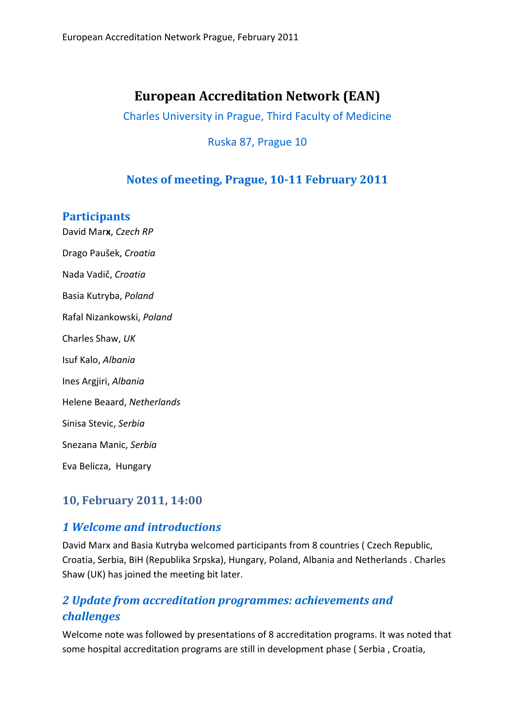# **European Accreditation Network (EAN)**

Charles University in Prague, Third Faculty of Medicine

#### Ruska 87, Prague 10

### **Notes of meeting, Prague, 1011 February 2011**

#### **Participants**

David Mar**x**, *Czech RP* Drago Paušek, *Croatia* Nada Vadič, *Croatia* Basia Kutryba, *Poland*  Rafal Nizankowski, *Poland* Charles Shaw, *UK* Isuf Kalo, *Albania* Ines Argjiri, *Albania* Helene Beaard, *Netherlands* Sinisa Stevic, *Serbia* Snezana Manic, *Serbia*  Eva Belicza, Hungary

### **10, February 2011, 14:00**

### *1 Welcome and introductions*

David Marx and Basia Kutryba welcomed participants from 8 countries ( Czech Republic, Croatia, Serbia, BiH (Republika Srpska), Hungary, Poland, Albania and Netherlands . Charles Shaw (UK) has joined the meeting bit later.

### *2 Update from accreditation programmes: achievements and challenges*

Welcome note was followed by presentations of 8 accreditation programs. It was noted that some hospital accreditation programs are still in development phase ( Serbia , Croatia,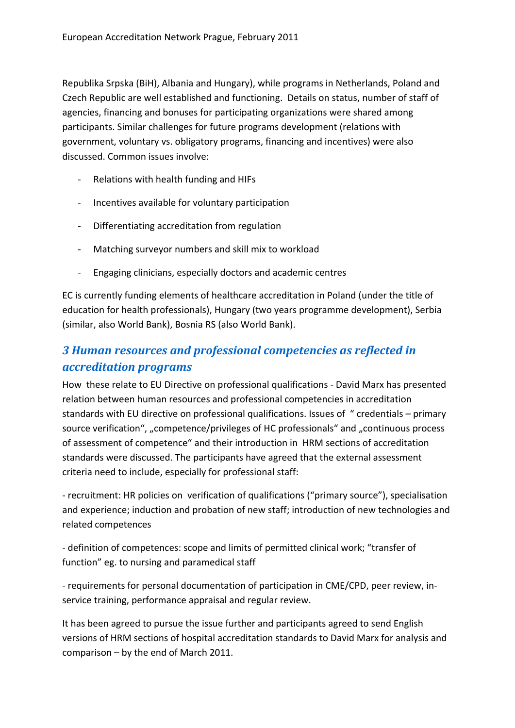Republika Srpska (BiH), Albania and Hungary), while programs in Netherlands, Poland and Czech Republic are well established and functioning. Details on status, number of staff of agencies, financing and bonuses for participating organizations were shared among participants. Similar challenges for future programs development (relations with government, voluntary vs. obligatory programs, financing and incentives) were also discussed. Common issues involve:

- ‐ Relations with health funding and HIFs
- ‐ Incentives available for voluntary participation
- ‐ Differentiating accreditation from regulation
- ‐ Matching surveyor numbers and skill mix to workload
- ‐ Engaging clinicians, especially doctors and academic centres

EC is currently funding elements of healthcare accreditation in Poland (under the title of education for health professionals), Hungary (two years programme development), Serbia (similar, also World Bank), Bosnia RS (also World Bank).

### *3 Human resources and professional competencies as reflected in accreditation programs*

How these relate to EU Directive on professional qualifications ‐ David Marx has presented relation between human resources and professional competencies in accreditation standards with EU directive on professional qualifications. Issues of " credentials – primary source verification", "competence/privileges of HC professionals" and "continuous process of assessment of competence" and their introduction in HRM sections of accreditation standards were discussed. The participants have agreed that the external assessment criteria need to include, especially for professional staff:

‐ recruitment: HR policies on verification of qualifications ("primary source"), specialisation and experience; induction and probation of new staff; introduction of new technologies and related competences

‐ definition of competences: scope and limits of permitted clinical work; "transfer of function" eg. to nursing and paramedical staff

‐ requirements for personal documentation of participation in CME/CPD, peer review, in‐ service training, performance appraisal and regular review.

It has been agreed to pursue the issue further and participants agreed to send English versions of HRM sections of hospital accreditation standards to David Marx for analysis and comparison – by the end of March 2011.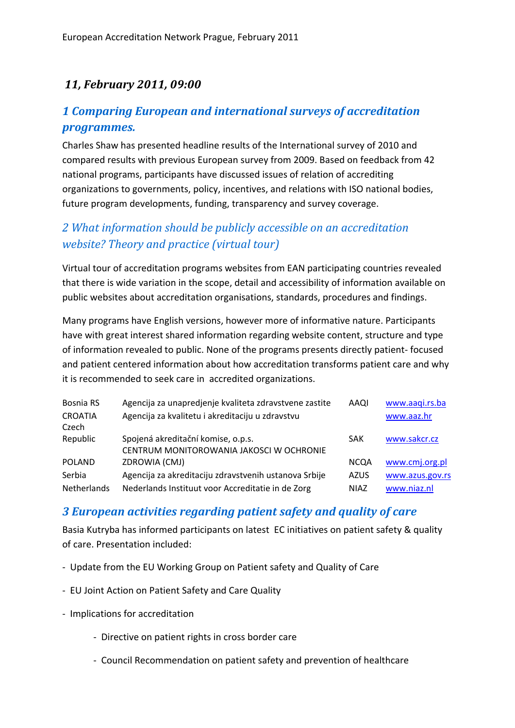## *11, February 2011, 09:00*

### *1 Comparing European and international surveys of accreditation programmes.*

Charles Shaw has presented headline results of the International survey of 2010 and compared results with previous European survey from 2009. Based on feedback from 42 national programs, participants have discussed issues of relation of accrediting organizations to governments, policy, incentives, and relations with ISO national bodies, future program developments, funding, transparency and survey coverage.

### *2 What information should be publicly accessible on an accreditation website? Theory and practice (virtual tour)*

Virtual tour of accreditation programs websites from EAN participating countries revealed that there is wide variation in the scope, detail and accessibility of information available on public websites about accreditation organisations, standards, procedures and findings.

Many programs have English versions, however more of informative nature. Participants have with great interest shared information regarding website content, structure and type of information revealed to public. None of the programs presents directly patient‐ focused and patient centered information about how accreditation transforms patient care and why it is recommended to seek care in accredited organizations.

| Bosnia RS      | Agencija za unapredjenje kvaliteta zdravstvene zastite | AAQI        | www.aaqi.rs.ba  |
|----------------|--------------------------------------------------------|-------------|-----------------|
| <b>CROATIA</b> | Agencija za kvalitetu i akreditaciju u zdravstvu       |             | www.aaz.hr      |
| Czech          |                                                        |             |                 |
| Republic       | Spojená akreditační komise, o.p.s.                     | SAK         | www.sakcr.cz    |
|                | CENTRUM MONITOROWANIA JAKOSCI W OCHRONIE               |             |                 |
| <b>POLAND</b>  | ZDROWIA (CMJ)                                          | <b>NCQA</b> | www.cmj.org.pl  |
| Serbia         | Agencija za akreditaciju zdravstvenih ustanova Srbije  | <b>AZUS</b> | www.azus.gov.rs |
| Netherlands    | Nederlands Instituut voor Accreditatie in de Zorg      | <b>NIAZ</b> | www.niaz.nl     |

### *3 European activities regarding patient safety and quality of care*

Basia Kutryba has informed participants on latest EC initiatives on patient safety & quality of care. Presentation included:

- ‐ Update from the EU Working Group on Patient safety and Quality of Care
- ‐ EU Joint Action on Patient Safety and Care Quality
- ‐ Implications for accreditation
	- ‐ Directive on patient rights in cross border care
	- ‐ Council Recommendation on patient safety and prevention of healthcare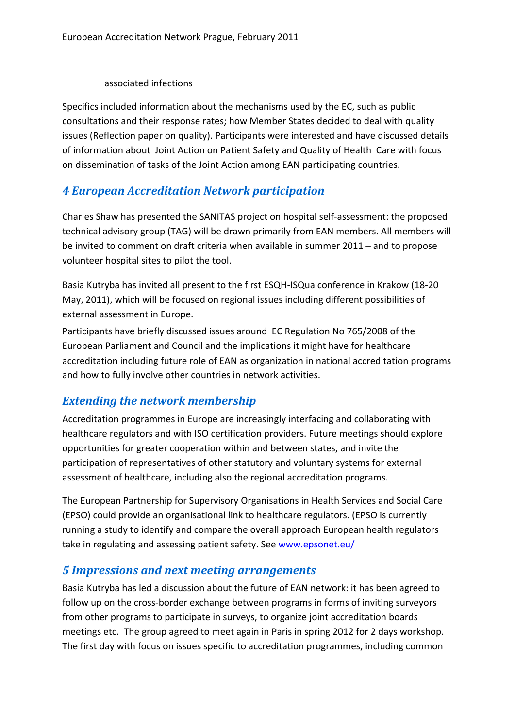#### associated infections

Specifics included information about the mechanisms used by the EC, such as public consultations and their response rates; how Member States decided to deal with quality issues (Reflection paper on quality). Participants were interested and have discussed details of information about Joint Action on Patient Safety and Quality of Health Care with focus on dissemination of tasks of the Joint Action among EAN participating countries.

## *4 European Accreditation Network participation*

Charles Shaw has presented the SANITAS project on hospital self‐assessment: the proposed technical advisory group (TAG) will be drawn primarily from EAN members. All members will be invited to comment on draft criteria when available in summer 2011 – and to propose volunteer hospital sites to pilot the tool.

Basia Kutryba has invited all present to the first ESQH-ISQua conference in Krakow (18-20 May, 2011), which will be focused on regional issues including different possibilities of external assessment in Europe.

Participants have briefly discussed issues around EC Regulation No 765/2008 of the European Parliament and Council and the implications it might have for healthcare accreditation including future role of EAN as organization in national accreditation programs and how to fully involve other countries in network activities.

### *Extending the network membership*

Accreditation programmes in Europe are increasingly interfacing and collaborating with healthcare regulators and with ISO certification providers. Future meetings should explore opportunities for greater cooperation within and between states, and invite the participation of representatives of other statutory and voluntary systems for external assessment of healthcare, including also the regional accreditation programs.

The European Partnership for Supervisory Organisations in Health Services and Social Care (EPSO) could provide an organisational link to healthcare regulators. (EPSO is currently running a study to identify and compare the overall approach European health regulators take in regulating and assessing patient safety. See www.epsonet.eu/

### *5 Impressions and next meeting arrangements*

Basia Kutryba has led a discussion about the future of EAN network: it has been agreed to follow up on the cross‐border exchange between programs in forms of inviting surveyors from other programs to participate in surveys, to organize joint accreditation boards meetings etc. The group agreed to meet again in Paris in spring 2012 for 2 days workshop. The first day with focus on issues specific to accreditation programmes, including common